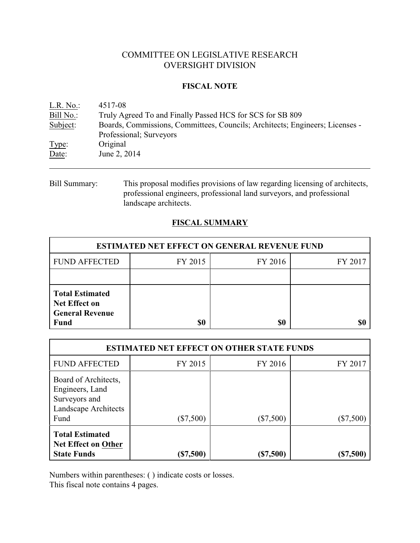# COMMITTEE ON LEGISLATIVE RESEARCH OVERSIGHT DIVISION

## **FISCAL NOTE**

| L.R. No.  | 4517-08                                                                      |
|-----------|------------------------------------------------------------------------------|
| Bill No.: | Truly Agreed To and Finally Passed HCS for SCS for SB 809                    |
| Subject:  | Boards, Commissions, Committees, Councils; Architects; Engineers; Licenses - |
|           | Professional; Surveyors                                                      |
| Type:     | Original                                                                     |
| Date:     | June 2, 2014                                                                 |
|           |                                                                              |

Bill Summary: This proposal modifies provisions of law regarding licensing of architects, professional engineers, professional land surveyors, and professional landscape architects.

# **FISCAL SUMMARY**

| <b>ESTIMATED NET EFFECT ON GENERAL REVENUE FUND</b>                                     |         |         |         |  |  |
|-----------------------------------------------------------------------------------------|---------|---------|---------|--|--|
| <b>FUND AFFECTED</b>                                                                    | FY 2015 | FY 2016 | FY 2017 |  |  |
|                                                                                         |         |         |         |  |  |
| <b>Total Estimated</b><br><b>Net Effect on</b><br><b>General Revenue</b><br><b>Fund</b> | \$0     | \$0     |         |  |  |

| <b>ESTIMATED NET EFFECT ON OTHER STATE FUNDS</b>                                         |             |             |           |  |  |
|------------------------------------------------------------------------------------------|-------------|-------------|-----------|--|--|
| <b>FUND AFFECTED</b>                                                                     | FY 2015     | FY 2016     | FY 2017   |  |  |
| Board of Architects,<br>Engineers, Land<br>Surveyors and<br>Landscape Architects<br>Fund | $(\$7,500)$ | $(\$7,500)$ | (\$7,500) |  |  |
| <b>Total Estimated</b><br><b>Net Effect on Other</b><br><b>State Funds</b>               | $(\$7,500)$ | (\$7,500)   | (\$7,500) |  |  |

Numbers within parentheses: ( ) indicate costs or losses.

This fiscal note contains 4 pages.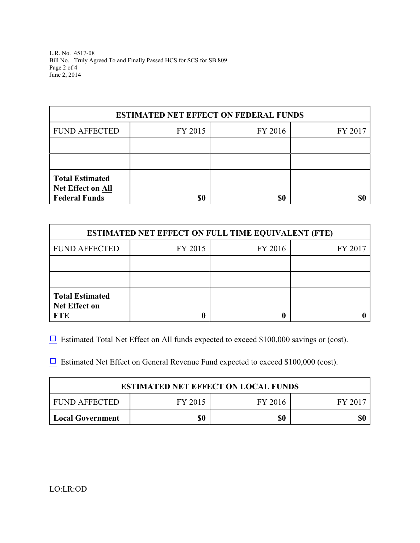L.R. No. 4517-08 Bill No. Truly Agreed To and Finally Passed HCS for SCS for SB 809 Page 2 of 4 June 2, 2014

| <b>ESTIMATED NET EFFECT ON FEDERAL FUNDS</b>                               |         |         |         |  |  |
|----------------------------------------------------------------------------|---------|---------|---------|--|--|
| <b>FUND AFFECTED</b>                                                       | FY 2015 | FY 2016 | FY 2017 |  |  |
|                                                                            |         |         |         |  |  |
|                                                                            |         |         |         |  |  |
| <b>Total Estimated</b><br><b>Net Effect on All</b><br><b>Federal Funds</b> | \$0     | \$0     |         |  |  |

| <b>ESTIMATED NET EFFECT ON FULL TIME EQUIVALENT (FTE)</b>    |         |         |         |  |  |
|--------------------------------------------------------------|---------|---------|---------|--|--|
| <b>FUND AFFECTED</b>                                         | FY 2015 | FY 2016 | FY 2017 |  |  |
|                                                              |         |         |         |  |  |
|                                                              |         |         |         |  |  |
| <b>Total Estimated</b><br><b>Net Effect on</b><br><b>FTE</b> |         |         |         |  |  |

 $\Box$  Estimated Total Net Effect on All funds expected to exceed \$100,000 savings or (cost).

 $\Box$  Estimated Net Effect on General Revenue Fund expected to exceed \$100,000 (cost).

| <b>ESTIMATED NET EFFECT ON LOCAL FUNDS</b> |         |         |         |  |
|--------------------------------------------|---------|---------|---------|--|
| FUND AFFECTED                              | FY 2015 | FY 2016 | FY 2017 |  |
| <b>Local Government</b>                    | \$0     | \$0     |         |  |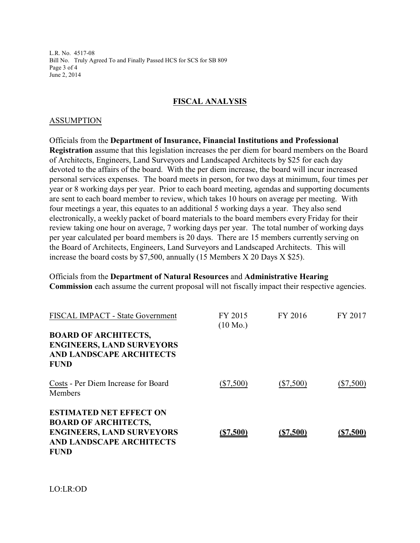L.R. No. 4517-08 Bill No. Truly Agreed To and Finally Passed HCS for SCS for SB 809 Page 3 of 4 June 2, 2014

### **FISCAL ANALYSIS**

#### ASSUMPTION

Officials from the **Department of Insurance, Financial Institutions and Professional Registration** assume that this legislation increases the per diem for board members on the Board of Architects, Engineers, Land Surveyors and Landscaped Architects by \$25 for each day devoted to the affairs of the board. With the per diem increase, the board will incur increased personal services expenses. The board meets in person, for two days at minimum, four times per year or 8 working days per year. Prior to each board meeting, agendas and supporting documents are sent to each board member to review, which takes 10 hours on average per meeting. With four meetings a year, this equates to an additional 5 working days a year. They also send electronically, a weekly packet of board materials to the board members every Friday for their review taking one hour on average, 7 working days per year. The total number of working days per year calculated per board members is 20 days. There are 15 members currently serving on the Board of Architects, Engineers, Land Surveyors and Landscaped Architects. This will increase the board costs by \$7,500, annually (15 Members X 20 Days X \$25).

Officials from the **Department of Natural Resources** and **Administrative Hearing Commission** each assume the current proposal will not fiscally impact their respective agencies.

| FISCAL IMPACT - State Government                                                                                                                    | FY 2015<br>$(10 \text{ Mo.})$ | FY 2016     | FY 2017     |
|-----------------------------------------------------------------------------------------------------------------------------------------------------|-------------------------------|-------------|-------------|
| <b>BOARD OF ARCHITECTS,</b><br><b>ENGINEERS, LAND SURVEYORS</b><br><b>AND LANDSCAPE ARCHITECTS</b><br><b>FUND</b>                                   |                               |             |             |
| Costs - Per Diem Increase for Board<br>Members                                                                                                      | $(\$7,500)$                   | $(\$7,500)$ | $(\$7,500)$ |
| <b>ESTIMATED NET EFFECT ON</b><br><b>BOARD OF ARCHITECTS,</b><br><b>ENGINEERS, LAND SURVEYORS</b><br><b>AND LANDSCAPE ARCHITECTS</b><br><b>FUND</b> | (S7,500)                      | ( \$7,500)  | (\$7,500)   |